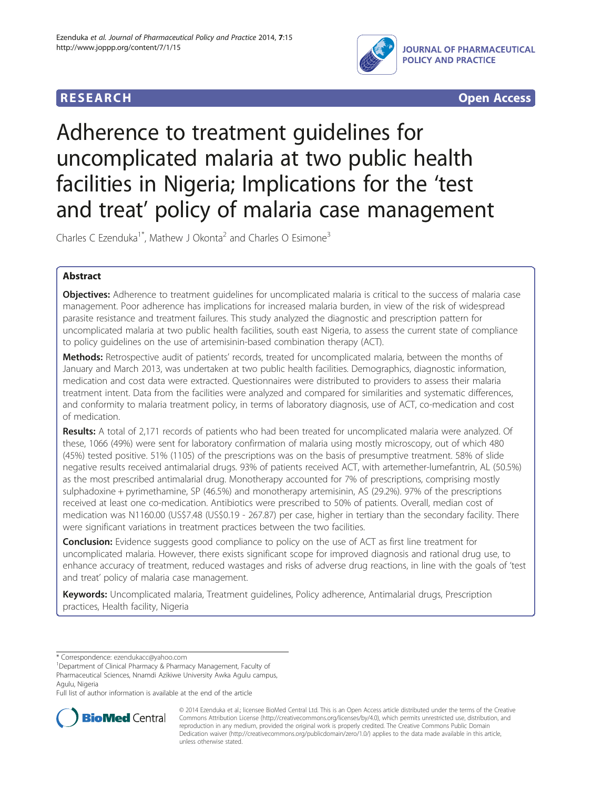



# Adherence to treatment guidelines for uncomplicated malaria at two public health facilities in Nigeria; Implications for the 'test and treat' policy of malaria case management

Charles C Ezenduka<sup>1\*</sup>, Mathew J Okonta<sup>2</sup> and Charles O Esimone<sup>3</sup>

# Abstract

**Objectives:** Adherence to treatment quidelines for uncomplicated malaria is critical to the success of malaria case management. Poor adherence has implications for increased malaria burden, in view of the risk of widespread parasite resistance and treatment failures. This study analyzed the diagnostic and prescription pattern for uncomplicated malaria at two public health facilities, south east Nigeria, to assess the current state of compliance to policy guidelines on the use of artemisinin-based combination therapy (ACT).

Methods: Retrospective audit of patients' records, treated for uncomplicated malaria, between the months of January and March 2013, was undertaken at two public health facilities. Demographics, diagnostic information, medication and cost data were extracted. Questionnaires were distributed to providers to assess their malaria treatment intent. Data from the facilities were analyzed and compared for similarities and systematic differences, and conformity to malaria treatment policy, in terms of laboratory diagnosis, use of ACT, co-medication and cost of medication.

Results: A total of 2,171 records of patients who had been treated for uncomplicated malaria were analyzed. Of these, 1066 (49%) were sent for laboratory confirmation of malaria using mostly microscopy, out of which 480 (45%) tested positive. 51% (1105) of the prescriptions was on the basis of presumptive treatment. 58% of slide negative results received antimalarial drugs. 93% of patients received ACT, with artemether-lumefantrin, AL (50.5%) as the most prescribed antimalarial drug. Monotherapy accounted for 7% of prescriptions, comprising mostly sulphadoxine + pyrimethamine, SP (46.5%) and monotherapy artemisinin, AS (29.2%). 97% of the prescriptions received at least one co-medication. Antibiotics were prescribed to 50% of patients. Overall, median cost of medication was N1160.00 (US\$7.48 (US\$0.19 - 267.87) per case, higher in tertiary than the secondary facility. There were significant variations in treatment practices between the two facilities.

**Conclusion:** Evidence suggests good compliance to policy on the use of ACT as first line treatment for uncomplicated malaria. However, there exists significant scope for improved diagnosis and rational drug use, to enhance accuracy of treatment, reduced wastages and risks of adverse drug reactions, in line with the goals of 'test and treat' policy of malaria case management.

Keywords: Uncomplicated malaria, Treatment guidelines, Policy adherence, Antimalarial drugs, Prescription practices, Health facility, Nigeria

\* Correspondence: [ezendukacc@yahoo.com](mailto:ezendukacc@yahoo.com) <sup>1</sup>

Department of Clinical Pharmacy & Pharmacy Management, Faculty of Pharmaceutical Sciences, Nnamdi Azikiwe University Awka Agulu campus, Agulu, Nigeria

Full list of author information is available at the end of the article



© 2014 Ezenduka et al.; licensee BioMed Central Ltd. This is an Open Access article distributed under the terms of the Creative Commons Attribution License [\(http://creativecommons.org/licenses/by/4.0\)](http://creativecommons.org/licenses/by/4.0), which permits unrestricted use, distribution, and reproduction in any medium, provided the original work is properly credited. The Creative Commons Public Domain Dedication waiver [\(http://creativecommons.org/publicdomain/zero/1.0/](http://creativecommons.org/publicdomain/zero/1.0/)) applies to the data made available in this article, unless otherwise stated.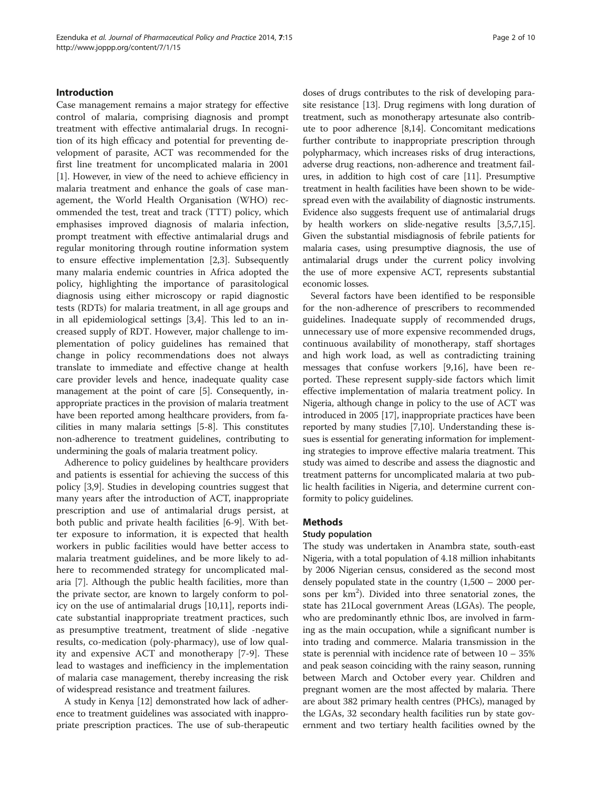# Introduction

Case management remains a major strategy for effective control of malaria, comprising diagnosis and prompt treatment with effective antimalarial drugs. In recognition of its high efficacy and potential for preventing development of parasite, ACT was recommended for the first line treatment for uncomplicated malaria in 2001 [[1\]](#page-8-0). However, in view of the need to achieve efficiency in malaria treatment and enhance the goals of case management, the World Health Organisation (WHO) recommended the test, treat and track (TTT) policy, which emphasises improved diagnosis of malaria infection, prompt treatment with effective antimalarial drugs and regular monitoring through routine information system to ensure effective implementation [[2,3\]](#page-8-0). Subsequently many malaria endemic countries in Africa adopted the policy, highlighting the importance of parasitological diagnosis using either microscopy or rapid diagnostic tests (RDTs) for malaria treatment, in all age groups and in all epidemiological settings [\[3](#page-8-0),[4](#page-9-0)]. This led to an increased supply of RDT. However, major challenge to implementation of policy guidelines has remained that change in policy recommendations does not always translate to immediate and effective change at health care provider levels and hence, inadequate quality case management at the point of care [[5](#page-9-0)]. Consequently, inappropriate practices in the provision of malaria treatment have been reported among healthcare providers, from facilities in many malaria settings [[5-8\]](#page-9-0). This constitutes non-adherence to treatment guidelines, contributing to undermining the goals of malaria treatment policy.

Adherence to policy guidelines by healthcare providers and patients is essential for achieving the success of this policy [\[3](#page-8-0),[9](#page-9-0)]. Studies in developing countries suggest that many years after the introduction of ACT, inappropriate prescription and use of antimalarial drugs persist, at both public and private health facilities [\[6](#page-9-0)-[9\]](#page-9-0). With better exposure to information, it is expected that health workers in public facilities would have better access to malaria treatment guidelines, and be more likely to adhere to recommended strategy for uncomplicated malaria [\[7](#page-9-0)]. Although the public health facilities, more than the private sector, are known to largely conform to policy on the use of antimalarial drugs [[10,11\]](#page-9-0), reports indicate substantial inappropriate treatment practices, such as presumptive treatment, treatment of slide -negative results, co-medication (poly-pharmacy), use of low quality and expensive ACT and monotherapy [[7-9\]](#page-9-0). These lead to wastages and inefficiency in the implementation of malaria case management, thereby increasing the risk of widespread resistance and treatment failures.

A study in Kenya [\[12\]](#page-9-0) demonstrated how lack of adherence to treatment guidelines was associated with inappropriate prescription practices. The use of sub-therapeutic doses of drugs contributes to the risk of developing parasite resistance [[13](#page-9-0)]. Drug regimens with long duration of treatment, such as monotherapy artesunate also contribute to poor adherence [[8,14](#page-9-0)]. Concomitant medications further contribute to inappropriate prescription through polypharmacy, which increases risks of drug interactions, adverse drug reactions, non-adherence and treatment failures, in addition to high cost of care [[11](#page-9-0)]. Presumptive treatment in health facilities have been shown to be widespread even with the availability of diagnostic instruments. Evidence also suggests frequent use of antimalarial drugs by health workers on slide-negative results [\[3](#page-8-0)[,5,7,15](#page-9-0)]. Given the substantial misdiagnosis of febrile patients for malaria cases, using presumptive diagnosis, the use of antimalarial drugs under the current policy involving the use of more expensive ACT, represents substantial economic losses.

Several factors have been identified to be responsible for the non-adherence of prescribers to recommended guidelines. Inadequate supply of recommended drugs, unnecessary use of more expensive recommended drugs, continuous availability of monotherapy, staff shortages and high work load, as well as contradicting training messages that confuse workers [[9,16\]](#page-9-0), have been reported. These represent supply-side factors which limit effective implementation of malaria treatment policy. In Nigeria, although change in policy to the use of ACT was introduced in 2005 [[17](#page-9-0)], inappropriate practices have been reported by many studies [[7,10](#page-9-0)]. Understanding these issues is essential for generating information for implementing strategies to improve effective malaria treatment. This study was aimed to describe and assess the diagnostic and treatment patterns for uncomplicated malaria at two public health facilities in Nigeria, and determine current conformity to policy guidelines.

#### Methods

# Study population

The study was undertaken in Anambra state, south-east Nigeria, with a total population of 4.18 million inhabitants by 2006 Nigerian census, considered as the second most densely populated state in the country (1,500 – 2000 persons per km<sup>2</sup>). Divided into three senatorial zones, the state has 21Local government Areas (LGAs). The people, who are predominantly ethnic Ibos, are involved in farming as the main occupation, while a significant number is into trading and commerce. Malaria transmission in the state is perennial with incidence rate of between 10 – 35% and peak season coinciding with the rainy season, running between March and October every year. Children and pregnant women are the most affected by malaria. There are about 382 primary health centres (PHCs), managed by the LGAs, 32 secondary health facilities run by state government and two tertiary health facilities owned by the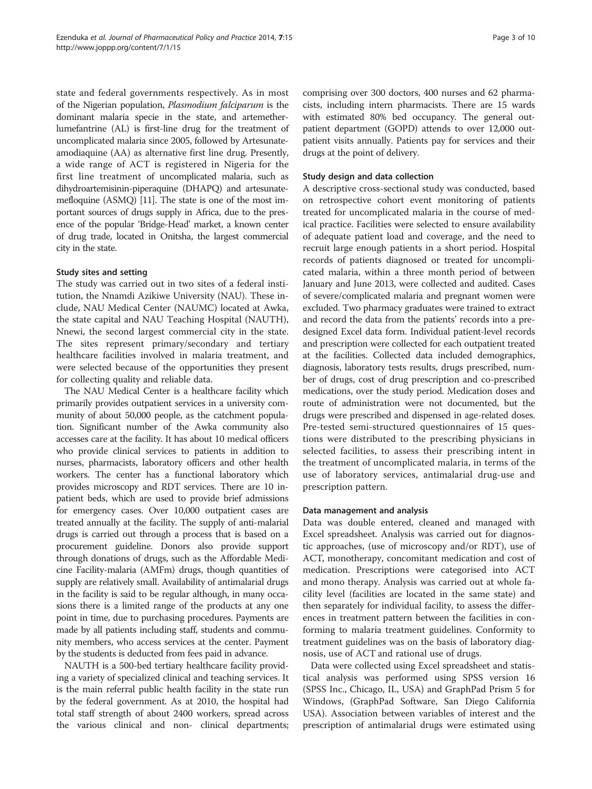state and federal governments respectively. As in most of the Nigerian population, Plasmodium falciparum is the dominant malaria specie in the state, and artemetherlumefantrine (AL) is first-line drug for the treatment of uncomplicated malaria since 2005, followed by Artesunateamodiaquine (AA) as alternative first line drug. Presently, a wide range of ACT is registered in Nigeria for the first line treatment of uncomplicated malaria, such as dihydroartemisinin-piperaquine (DHAPQ) and artesunatemefloquine (ASMQ) [[11\]](#page-9-0). The state is one of the most important sources of drugs supply in Africa, due to the presence of the popular 'Bridge-Head' market, a known center of drug trade, located in Onitsha, the largest commercial city in the state.

#### Study sites and setting

The study was carried out in two sites of a federal institution, the Nnamdi Azikiwe University (NAU). These include, NAU Medical Center (NAUMC) located at Awka, the state capital and NAU Teaching Hospital (NAUTH), Nnewi, the second largest commercial city in the state. The sites represent primary/secondary and tertiary healthcare facilities involved in malaria treatment, and were selected because of the opportunities they present for collecting quality and reliable data.

The NAU Medical Center is a healthcare facility which primarily provides outpatient services in a university community of about 50,000 people, as the catchment population. Significant number of the Awka community also accesses care at the facility. It has about 10 medical officers who provide clinical services to patients in addition to nurses, pharmacists, laboratory officers and other health workers. The center has a functional laboratory which provides microscopy and RDT services. There are 10 inpatient beds, which are used to provide brief admissions for emergency cases. Over 10,000 outpatient cases are treated annually at the facility. The supply of anti-malarial drugs is carried out through a process that is based on a procurement guideline. Donors also provide support through donations of drugs, such as the Affordable Medicine Facility-malaria (AMFm) drugs, though quantities of supply are relatively small. Availability of antimalarial drugs in the facility is said to be regular although, in many occasions there is a limited range of the products at any one point in time, due to purchasing procedures. Payments are made by all patients including staff, students and community members, who access services at the center. Payment by the students is deducted from fees paid in advance.

NAUTH is a 500-bed tertiary healthcare facility providing a variety of specialized clinical and teaching services. It is the main referral public health facility in the state run by the federal government. As at 2010, the hospital had total staff strength of about 2400 workers, spread across the various clinical and non- clinical departments; comprising over 300 doctors, 400 nurses and 62 pharmacists, including intern pharmacists. There are 15 wards with estimated 80% bed occupancy. The general outpatient department (GOPD) attends to over 12,000 outpatient visits annually. Patients pay for services and their drugs at the point of delivery.

# Study design and data collection

A descriptive cross-sectional study was conducted, based on retrospective cohort event monitoring of patients treated for uncomplicated malaria in the course of medical practice. Facilities were selected to ensure availability of adequate patient load and coverage, and the need to recruit large enough patients in a short period. Hospital records of patients diagnosed or treated for uncomplicated malaria, within a three month period of between January and June 2013, were collected and audited. Cases of severe/complicated malaria and pregnant women were excluded. Two pharmacy graduates were trained to extract and record the data from the patients' records into a predesigned Excel data form. Individual patient-level records and prescription were collected for each outpatient treated at the facilities. Collected data included demographics, diagnosis, laboratory tests results, drugs prescribed, number of drugs, cost of drug prescription and co-prescribed medications, over the study period. Medication doses and route of administration were not documented, but the drugs were prescribed and dispensed in age-related doses. Pre-tested semi-structured questionnaires of 15 questions were distributed to the prescribing physicians in selected facilities, to assess their prescribing intent in the treatment of uncomplicated malaria, in terms of the use of laboratory services, antimalarial drug-use and prescription pattern.

#### Data management and analysis

Data was double entered, cleaned and managed with Excel spreadsheet. Analysis was carried out for diagnostic approaches, (use of microscopy and/or RDT), use of ACT, monotherapy, concomitant medication and cost of medication. Prescriptions were categorised into ACT and mono therapy. Analysis was carried out at whole facility level (facilities are located in the same state) and then separately for individual facility, to assess the differences in treatment pattern between the facilities in conforming to malaria treatment guidelines. Conformity to treatment guidelines was on the basis of laboratory diagnosis, use of ACT and rational use of drugs.

Data were collected using Excel spreadsheet and statistical analysis was performed using SPSS version 16 (SPSS Inc., Chicago, IL, USA) and GraphPad Prism 5 for Windows, (GraphPad Software, San Diego California USA). Association between variables of interest and the prescription of antimalarial drugs were estimated using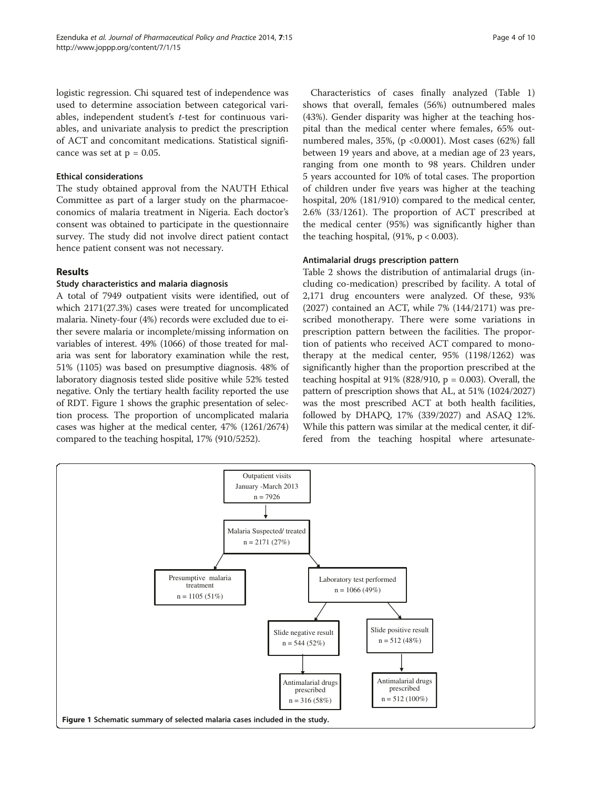logistic regression. Chi squared test of independence was used to determine association between categorical variables, independent student's t-test for continuous variables, and univariate analysis to predict the prescription of ACT and concomitant medications. Statistical significance was set at  $p = 0.05$ .

#### Ethical considerations

The study obtained approval from the NAUTH Ethical Committee as part of a larger study on the pharmacoeconomics of malaria treatment in Nigeria. Each doctor's consent was obtained to participate in the questionnaire survey. The study did not involve direct patient contact hence patient consent was not necessary.

#### Results

# Study characteristics and malaria diagnosis

A total of 7949 outpatient visits were identified, out of which 2171(27.3%) cases were treated for uncomplicated malaria. Ninety-four (4%) records were excluded due to either severe malaria or incomplete/missing information on variables of interest. 49% (1066) of those treated for malaria was sent for laboratory examination while the rest, 51% (1105) was based on presumptive diagnosis. 48% of laboratory diagnosis tested slide positive while 52% tested negative. Only the tertiary health facility reported the use of RDT. Figure 1 shows the graphic presentation of selection process. The proportion of uncomplicated malaria cases was higher at the medical center, 47% (1261/2674) compared to the teaching hospital, 17% (910/5252).

Characteristics of cases finally analyzed (Table [1](#page-4-0)) shows that overall, females (56%) outnumbered males (43%). Gender disparity was higher at the teaching hospital than the medical center where females, 65% outnumbered males,  $35\%$ , (p <0.0001). Most cases (62%) fall between 19 years and above, at a median age of 23 years, ranging from one month to 98 years. Children under 5 years accounted for 10% of total cases. The proportion of children under five years was higher at the teaching hospital, 20% (181/910) compared to the medical center, 2.6% (33/1261). The proportion of ACT prescribed at the medical center (95%) was significantly higher than the teaching hospital,  $(91\%, p < 0.003)$ .

#### Antimalarial drugs prescription pattern

Table [2](#page-4-0) shows the distribution of antimalarial drugs (including co-medication) prescribed by facility. A total of 2,171 drug encounters were analyzed. Of these, 93% (2027) contained an ACT, while 7% (144/2171) was prescribed monotherapy. There were some variations in prescription pattern between the facilities. The proportion of patients who received ACT compared to monotherapy at the medical center, 95% (1198/1262) was significantly higher than the proportion prescribed at the teaching hospital at  $91\%$  (828/910,  $p = 0.003$ ). Overall, the pattern of prescription shows that AL, at 51% (1024/2027) was the most prescribed ACT at both health facilities, followed by DHAPQ, 17% (339/2027) and ASAQ 12%. While this pattern was similar at the medical center, it differed from the teaching hospital where artesunate-

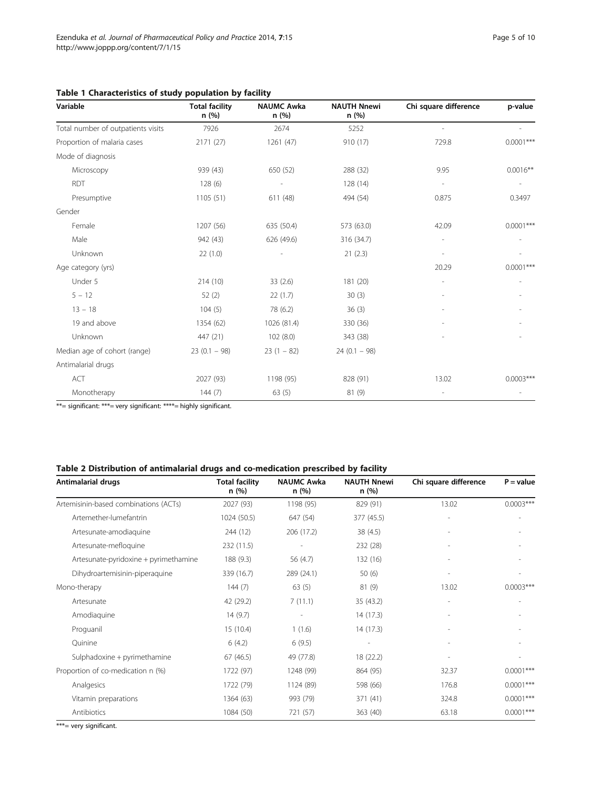<span id="page-4-0"></span>

|  | Table 1 Characteristics of study population by facility |  |  |  |  |  |
|--|---------------------------------------------------------|--|--|--|--|--|
|--|---------------------------------------------------------|--|--|--|--|--|

| Variable                           | <b>Total facility</b><br>n(%) | <b>NAUMC Awka</b><br>n (%) | <b>NAUTH Nnewi</b><br>n (%) | Chi square difference    | p-value     |
|------------------------------------|-------------------------------|----------------------------|-----------------------------|--------------------------|-------------|
| Total number of outpatients visits | 7926                          | 2674                       | 5252                        | $\overline{\phantom{a}}$ |             |
| Proportion of malaria cases        | 2171 (27)                     | 1261(47)                   | 910 (17)                    | 729.8                    | $0.0001***$ |
| Mode of diagnosis                  |                               |                            |                             |                          |             |
| Microscopy                         | 939 (43)                      | 650 (52)                   | 288 (32)                    | 9.95                     | $0.0016**$  |
| <b>RDT</b>                         | 128(6)                        |                            | 128 (14)                    |                          |             |
| Presumptive                        | 1105(51)                      | 611 (48)                   | 494 (54)                    | 0.875                    | 0.3497      |
| Gender                             |                               |                            |                             |                          |             |
| Female                             | 1207 (56)                     | 635 (50.4)                 | 573 (63.0)                  | 42.09                    | $0.0001***$ |
| Male                               | 942 (43)                      | 626 (49.6)                 | 316 (34.7)                  | $\overline{\phantom{a}}$ |             |
| Unknown                            | 22(1.0)                       |                            | 21(2.3)                     |                          |             |
| Age category (yrs)                 |                               |                            |                             | 20.29                    | $0.0001***$ |
| Under 5                            | 214(10)                       | 33(2.6)                    | 181 (20)                    |                          |             |
| $5 - 12$                           | 52(2)                         | 22(1.7)                    | 30(3)                       |                          |             |
| $13 - 18$                          | 104(5)                        | 78 (6.2)                   | 36(3)                       |                          |             |
| 19 and above                       | 1354 (62)                     | 1026 (81.4)                | 330 (36)                    |                          |             |
| Unknown                            | 447 (21)                      | 102(8.0)                   | 343 (38)                    |                          |             |
| Median age of cohort (range)       | $23(0.1 - 98)$                | $23(1 - 82)$               | $24(0.1 - 98)$              |                          |             |
| Antimalarial drugs                 |                               |                            |                             |                          |             |
| ACT                                | 2027 (93)                     | 1198 (95)                  | 828 (91)                    | 13.02                    | $0.0003***$ |
| Monotherapy                        | 144(7)                        | 63(5)                      | 81(9)                       |                          |             |

\*\*= significant: \*\*\*= very significant: \*\*\*\*= highly significant.

# Table 2 Distribution of antimalarial drugs and co-medication prescribed by facility

| Antimalarial drugs                    | <b>Total facility</b><br>n(%) | <b>NAUMC Awka</b><br>n(%) | <b>NAUTH Nnewi</b><br>n(%) | Chi square difference | $P = value$  |
|---------------------------------------|-------------------------------|---------------------------|----------------------------|-----------------------|--------------|
| Artemisinin-based combinations (ACTs) | 2027 (93)                     | 1198 (95)                 | 829 (91)                   | 13.02                 | $0.0003***$  |
| Artemether-lumefantrin                | 1024 (50.5)                   | 647 (54)                  | 377 (45.5)                 |                       |              |
| Artesunate-amodiaquine                | 244 (12)                      | 206 (17.2)                | 38 (4.5)                   |                       |              |
| Artesunate-mefloquine                 | 232 (11.5)                    |                           | 232 (28)                   |                       |              |
| Artesunate-pyridoxine + pyrimethamine | 188 (9.3)                     | 56 (4.7)                  | 132 (16)                   |                       |              |
| Dihydroartemisinin-piperaquine        | 339 (16.7)                    | 289 (24.1)                | 50(6)                      |                       |              |
| Mono-therapy                          | 144(7)                        | 63(5)                     | 81(9)                      | 13.02                 | $0.0003***$  |
| Artesunate                            | 42 (29.2)                     | 7(11.1)                   | 35 (43.2)                  |                       |              |
| Amodiaguine                           | 14(9.7)                       |                           | 14(17.3)                   |                       |              |
| Proguanil                             | 15(10.4)                      | 1(1.6)                    | 14 (17.3)                  |                       |              |
| Quinine                               | 6(4.2)                        | 6(9.5)                    | ٠                          |                       |              |
| Sulphadoxine + pyrimethamine          | 67(46.5)                      | 49 (77.8)                 | 18 (22.2)                  |                       |              |
| Proportion of co-medication n (%)     | 1722 (97)                     | 1248 (99)                 | 864 (95)                   | 32.37                 | $0.0001$ *** |
| Analgesics                            | 1722 (79)                     | 1124 (89)                 | 598 (66)                   | 176.8                 | $0.0001***$  |
| Vitamin preparations                  | 1364 (63)                     | 993 (79)                  | 371 (41)                   | 324.8                 | $0.0001***$  |
| Antibiotics                           | 1084 (50)                     | 721 (57)                  | 363 (40)                   | 63.18                 | $0.0001***$  |

\*\*\*= very significant.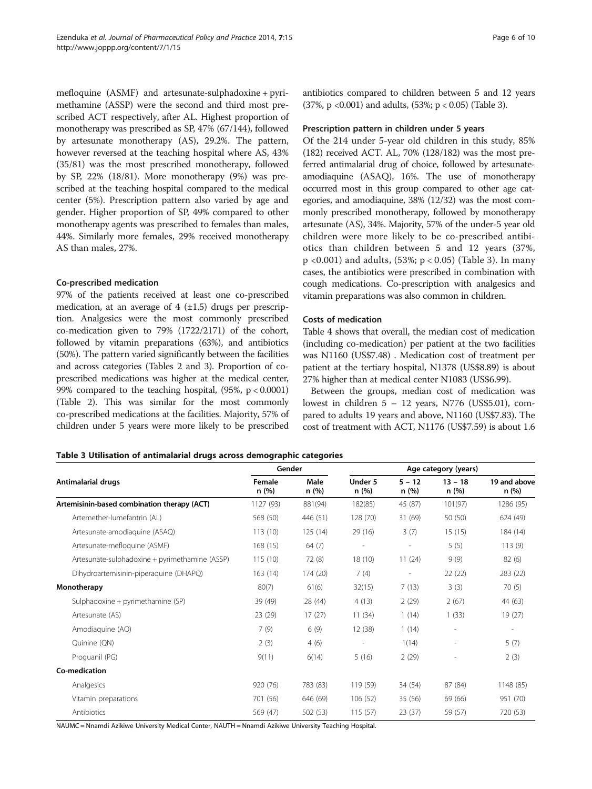mefloquine (ASMF) and artesunate-sulphadoxine + pyrimethamine (ASSP) were the second and third most prescribed ACT respectively, after AL. Highest proportion of monotherapy was prescribed as SP, 47% (67/144), followed by artesunate monotherapy (AS), 29.2%. The pattern, however reversed at the teaching hospital where AS, 43% (35/81) was the most prescribed monotherapy, followed by SP, 22% (18/81). More monotherapy (9%) was prescribed at the teaching hospital compared to the medical center (5%). Prescription pattern also varied by age and gender. Higher proportion of SP, 49% compared to other monotherapy agents was prescribed to females than males, 44%. Similarly more females, 29% received monotherapy AS than males, 27%.

#### Co-prescribed medication

97% of the patients received at least one co-prescribed medication, at an average of  $4$  ( $\pm 1.5$ ) drugs per prescription. Analgesics were the most commonly prescribed co-medication given to 79% (1722/2171) of the cohort, followed by vitamin preparations (63%), and antibiotics (50%). The pattern varied significantly between the facilities and across categories (Tables [2](#page-4-0) and 3). Proportion of coprescribed medications was higher at the medical center, 99% compared to the teaching hospital, (95%, p < 0.0001) (Table [2\)](#page-4-0). This was similar for the most commonly co-prescribed medications at the facilities. Majority, 57% of children under 5 years were more likely to be prescribed antibiotics compared to children between 5 and 12 years (37%, p <0.001) and adults, (53%; p < 0.05) (Table 3).

#### Prescription pattern in children under 5 years

Of the 214 under 5-year old children in this study, 85% (182) received ACT. AL, 70% (128/182) was the most preferred antimalarial drug of choice, followed by artesunateamodiaquine (ASAQ), 16%. The use of monotherapy occurred most in this group compared to other age categories, and amodiaquine, 38% (12/32) was the most commonly prescribed monotherapy, followed by monotherapy artesunate (AS), 34%. Majority, 57% of the under-5 year old children were more likely to be co-prescribed antibiotics than children between 5 and 12 years (37%, p <0.001) and adults, (53%; p < 0.05) (Table 3). In many cases, the antibiotics were prescribed in combination with cough medications. Co-prescription with analgesics and vitamin preparations was also common in children.

#### Costs of medication

Table [4](#page-6-0) shows that overall, the median cost of medication (including co-medication) per patient at the two facilities was N1160 (US\$7.48) . Medication cost of treatment per patient at the tertiary hospital, N1378 (US\$8.89) is about 27% higher than at medical center N1083 (US\$6.99).

Between the groups, median cost of medication was lowest in children 5 – 12 years, N776 (US\$5.01), compared to adults 19 years and above, N1160 (US\$7.83). The cost of treatment with ACT, N1176 (US\$7.59) is about 1.6

|                                                | Gender          |              |                          | Age category (years)     |                          |                          |
|------------------------------------------------|-----------------|--------------|--------------------------|--------------------------|--------------------------|--------------------------|
| Antimalarial drugs                             | Female<br>n (%) | Male<br>n(%) | Under 5<br>n(%)          | $5 - 12$<br>n (%)        | $13 - 18$<br>n (%)       | 19 and above<br>n (%)    |
| Artemisinin-based combination therapy (ACT)    | 1127 (93)       | 881(94)      | 182(85)                  | 45 (87)                  | 101(97)                  | 1286 (95)                |
| Artemether-lumefantrin (AL)                    | 568 (50)        | 446 (51)     | 128 (70)                 | 31 (69)                  | 50 (50)                  | 624 (49)                 |
| Artesunate-amodiaquine (ASAQ)                  | 113(10)         | 125(14)      | 29(16)                   | 3(7)                     | 15(15)                   | 184 (14)                 |
| Artesunate-mefloquine (ASMF)                   | 168(15)         | 64(7)        | $\overline{\phantom{a}}$ | $\overline{\phantom{a}}$ | 5(5)                     | 113(9)                   |
| Artesunate-sulphadoxine + pyrimethamine (ASSP) | 115(10)         | 72(8)        | 18(10)                   | 11(24)                   | 9(9)                     | 82 (6)                   |
| Dihydroartemisinin-piperaquine (DHAPQ)         | 163(14)         | 174 (20)     | 7(4)                     | $\overline{\phantom{a}}$ | 22(22)                   | 283 (22)                 |
| Monotherapy                                    | 80(7)           | 61(6)        | 32(15)                   | 7(13)                    | 3(3)                     | 70(5)                    |
| Sulphadoxine + pyrimethamine (SP)              | 39 (49)         | 28 (44)      | 4(13)                    | 2(29)                    | 2(67)                    | 44 (63)                  |
| Artesunate (AS)                                | 23 (29)         | 17(27)       | 11(34)                   | 1(14)                    | 1(33)                    | 19(27)                   |
| Amodiaguine (AQ)                               | 7(9)            | 6(9)         | 12(38)                   | 1(14)                    | $\overline{\phantom{a}}$ | $\overline{\phantom{a}}$ |
| Quinine (QN)                                   | 2(3)            | 4(6)         | $\sim$                   | 1(14)                    | $\overline{\phantom{a}}$ | 5(7)                     |
| Proguanil (PG)                                 | 9(11)           | 6(14)        | 5(16)                    | 2(29)                    | $\overline{\phantom{a}}$ | 2(3)                     |
| Co-medication                                  |                 |              |                          |                          |                          |                          |
| Analgesics                                     | 920 (76)        | 783 (83)     | 119(59)                  | 34 (54)                  | 87 (84)                  | 1148 (85)                |
| Vitamin preparations                           | 701 (56)        | 646 (69)     | 106 (52)                 | 35 (56)                  | 69 (66)                  | 951 (70)                 |
| Antibiotics                                    | 569 (47)        | 502 (53)     | 115(57)                  | 23(37)                   | 59 (57)                  | 720 (53)                 |

NAUMC = Nnamdi Azikiwe University Medical Center, NAUTH = Nnamdi Azikiwe University Teaching Hospital.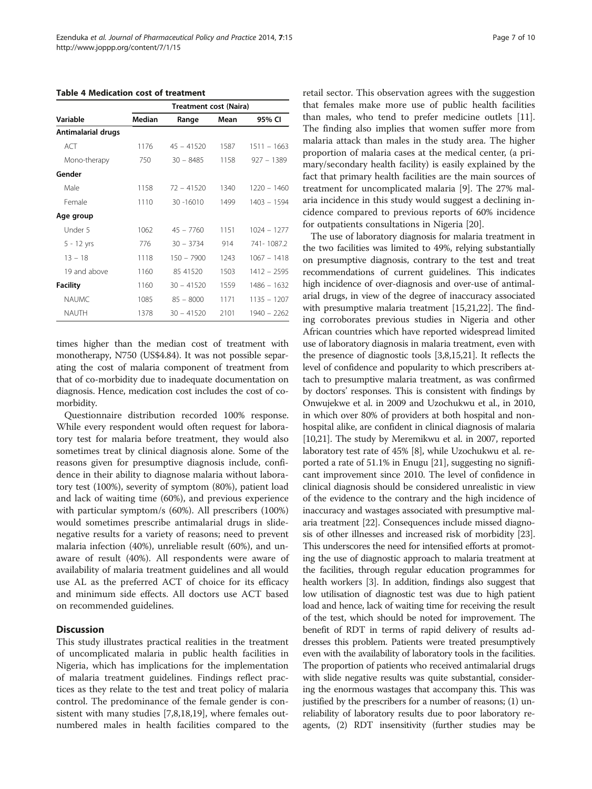<span id="page-6-0"></span>Table 4 Medication cost of treatment

|                    | Treatment cost (Naira) |              |      |               |  |  |
|--------------------|------------------------|--------------|------|---------------|--|--|
| Variable           | Median                 | Range        | Mean | 95% CI        |  |  |
| Antimalarial drugs |                        |              |      |               |  |  |
| ACT                | 1176                   | $45 - 41520$ | 1587 | $1511 - 1663$ |  |  |
| Mono-therapy       | 750                    | $30 - 8485$  | 1158 | $927 - 1389$  |  |  |
| Gender             |                        |              |      |               |  |  |
| Male               | 1158                   | $72 - 41520$ | 1340 | 1220 - 1460   |  |  |
| Female             | 1110                   | $30 - 16010$ | 1499 | $1403 - 1594$ |  |  |
| Age group          |                        |              |      |               |  |  |
| Under 5            | 1062                   | $45 - 7760$  | 1151 | $1024 - 1277$ |  |  |
| $5 - 12$ yrs       | 776                    | $30 - 3734$  | 914  | 741-1087.2    |  |  |
| $13 - 18$          | 1118                   | $150 - 7900$ | 1243 | $1067 - 1418$ |  |  |
| 19 and above       | 1160                   | 85 41520     | 1503 | 1412 - 2595   |  |  |
| <b>Facility</b>    | 1160                   | $30 - 41520$ | 1559 | 1486 - 1632   |  |  |
| <b>NAUMC</b>       | 1085                   | $85 - 8000$  | 1171 | $1135 - 1207$ |  |  |
| <b>NAUTH</b>       | 1378                   | $30 - 41520$ | 2101 | 1940 – 2262   |  |  |

times higher than the median cost of treatment with monotherapy, N750 (US\$4.84). It was not possible separating the cost of malaria component of treatment from that of co-morbidity due to inadequate documentation on diagnosis. Hence, medication cost includes the cost of comorbidity.

Questionnaire distribution recorded 100% response. While every respondent would often request for laboratory test for malaria before treatment, they would also sometimes treat by clinical diagnosis alone. Some of the reasons given for presumptive diagnosis include, confidence in their ability to diagnose malaria without laboratory test (100%), severity of symptom (80%), patient load and lack of waiting time (60%), and previous experience with particular symptom/s (60%). All prescribers (100%) would sometimes prescribe antimalarial drugs in slidenegative results for a variety of reasons; need to prevent malaria infection (40%), unreliable result (60%), and unaware of result (40%). All respondents were aware of availability of malaria treatment guidelines and all would use AL as the preferred ACT of choice for its efficacy and minimum side effects. All doctors use ACT based on recommended guidelines.

#### **Discussion**

This study illustrates practical realities in the treatment of uncomplicated malaria in public health facilities in Nigeria, which has implications for the implementation of malaria treatment guidelines. Findings reflect practices as they relate to the test and treat policy of malaria control. The predominance of the female gender is consistent with many studies [[7](#page-9-0),[8](#page-9-0),[18](#page-9-0),[19](#page-9-0)], where females outnumbered males in health facilities compared to the retail sector. This observation agrees with the suggestion that females make more use of public health facilities than males, who tend to prefer medicine outlets [\[11](#page-9-0)]. The finding also implies that women suffer more from malaria attack than males in the study area. The higher proportion of malaria cases at the medical center, (a primary/secondary health facility) is easily explained by the fact that primary health facilities are the main sources of treatment for uncomplicated malaria [\[9](#page-9-0)]. The 27% malaria incidence in this study would suggest a declining incidence compared to previous reports of 60% incidence for outpatients consultations in Nigeria [[20\]](#page-9-0).

The use of laboratory diagnosis for malaria treatment in the two facilities was limited to 49%, relying substantially on presumptive diagnosis, contrary to the test and treat recommendations of current guidelines. This indicates high incidence of over-diagnosis and over-use of antimalarial drugs, in view of the degree of inaccuracy associated with presumptive malaria treatment [\[15,21,22\]](#page-9-0). The finding corroborates previous studies in Nigeria and other African countries which have reported widespread limited use of laboratory diagnosis in malaria treatment, even with the presence of diagnostic tools [\[3](#page-8-0)[,8,15,21](#page-9-0)]. It reflects the level of confidence and popularity to which prescribers attach to presumptive malaria treatment, as was confirmed by doctors' responses. This is consistent with findings by Onwujekwe et al. in 2009 and Uzochukwu et al., in 2010, in which over 80% of providers at both hospital and nonhospital alike, are confident in clinical diagnosis of malaria [[10,21](#page-9-0)]. The study by Meremikwu et al. in 2007, reported laboratory test rate of 45% [\[8\]](#page-9-0), while Uzochukwu et al. reported a rate of 51.1% in Enugu [[21](#page-9-0)], suggesting no significant improvement since 2010. The level of confidence in clinical diagnosis should be considered unrealistic in view of the evidence to the contrary and the high incidence of inaccuracy and wastages associated with presumptive malaria treatment [[22](#page-9-0)]. Consequences include missed diagnosis of other illnesses and increased risk of morbidity [[23](#page-9-0)]. This underscores the need for intensified efforts at promoting the use of diagnostic approach to malaria treatment at the facilities, through regular education programmes for health workers [\[3](#page-8-0)]. In addition, findings also suggest that low utilisation of diagnostic test was due to high patient load and hence, lack of waiting time for receiving the result of the test, which should be noted for improvement. The benefit of RDT in terms of rapid delivery of results addresses this problem. Patients were treated presumptively even with the availability of laboratory tools in the facilities. The proportion of patients who received antimalarial drugs with slide negative results was quite substantial, considering the enormous wastages that accompany this. This was justified by the prescribers for a number of reasons; (1) unreliability of laboratory results due to poor laboratory reagents, (2) RDT insensitivity (further studies may be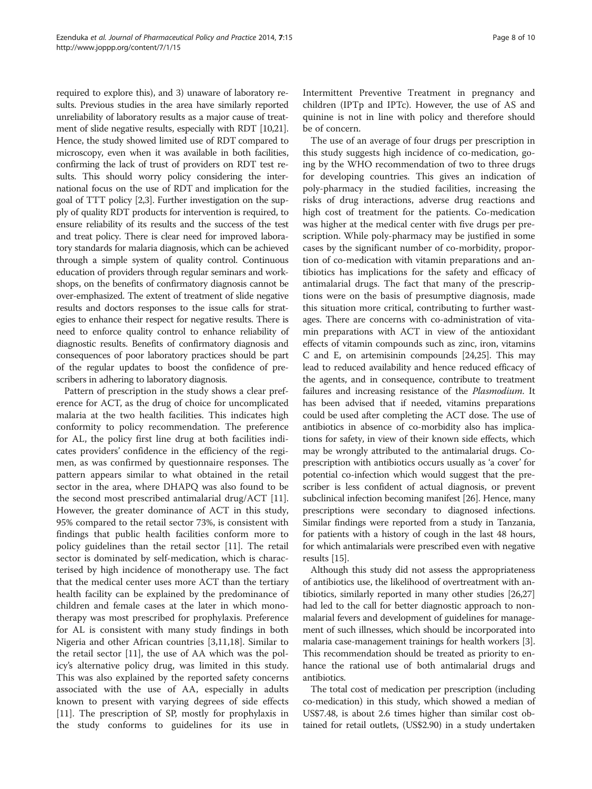required to explore this), and 3) unaware of laboratory results. Previous studies in the area have similarly reported unreliability of laboratory results as a major cause of treatment of slide negative results, especially with RDT [\[10,21](#page-9-0)]. Hence, the study showed limited use of RDT compared to microscopy, even when it was available in both facilities, confirming the lack of trust of providers on RDT test results. This should worry policy considering the international focus on the use of RDT and implication for the goal of TTT policy [[2,3](#page-8-0)]. Further investigation on the supply of quality RDT products for intervention is required, to ensure reliability of its results and the success of the test and treat policy. There is clear need for improved laboratory standards for malaria diagnosis, which can be achieved through a simple system of quality control. Continuous education of providers through regular seminars and workshops, on the benefits of confirmatory diagnosis cannot be over-emphasized. The extent of treatment of slide negative results and doctors responses to the issue calls for strategies to enhance their respect for negative results. There is need to enforce quality control to enhance reliability of diagnostic results. Benefits of confirmatory diagnosis and consequences of poor laboratory practices should be part of the regular updates to boost the confidence of prescribers in adhering to laboratory diagnosis.

Pattern of prescription in the study shows a clear preference for ACT, as the drug of choice for uncomplicated malaria at the two health facilities. This indicates high conformity to policy recommendation. The preference for AL, the policy first line drug at both facilities indicates providers' confidence in the efficiency of the regimen, as was confirmed by questionnaire responses. The pattern appears similar to what obtained in the retail sector in the area, where DHAPQ was also found to be the second most prescribed antimalarial drug/ACT [\[11](#page-9-0)]. However, the greater dominance of ACT in this study, 95% compared to the retail sector 73%, is consistent with findings that public health facilities conform more to policy guidelines than the retail sector [\[11](#page-9-0)]. The retail sector is dominated by self-medication, which is characterised by high incidence of monotherapy use. The fact that the medical center uses more ACT than the tertiary health facility can be explained by the predominance of children and female cases at the later in which monotherapy was most prescribed for prophylaxis. Preference for AL is consistent with many study findings in both Nigeria and other African countries [\[3](#page-8-0)[,11,18\]](#page-9-0). Similar to the retail sector [\[11\]](#page-9-0), the use of AA which was the policy's alternative policy drug, was limited in this study. This was also explained by the reported safety concerns associated with the use of AA, especially in adults known to present with varying degrees of side effects [[11\]](#page-9-0). The prescription of SP, mostly for prophylaxis in the study conforms to guidelines for its use in

Intermittent Preventive Treatment in pregnancy and children (IPTp and IPTc). However, the use of AS and quinine is not in line with policy and therefore should be of concern.

The use of an average of four drugs per prescription in this study suggests high incidence of co-medication, going by the WHO recommendation of two to three drugs for developing countries. This gives an indication of poly-pharmacy in the studied facilities, increasing the risks of drug interactions, adverse drug reactions and high cost of treatment for the patients. Co-medication was higher at the medical center with five drugs per prescription. While poly-pharmacy may be justified in some cases by the significant number of co-morbidity, proportion of co-medication with vitamin preparations and antibiotics has implications for the safety and efficacy of antimalarial drugs. The fact that many of the prescriptions were on the basis of presumptive diagnosis, made this situation more critical, contributing to further wastages. There are concerns with co-administration of vitamin preparations with ACT in view of the antioxidant effects of vitamin compounds such as zinc, iron, vitamins C and E, on artemisinin compounds [\[24,25](#page-9-0)]. This may lead to reduced availability and hence reduced efficacy of the agents, and in consequence, contribute to treatment failures and increasing resistance of the *Plasmodium*. It has been advised that if needed, vitamins preparations could be used after completing the ACT dose. The use of antibiotics in absence of co-morbidity also has implications for safety, in view of their known side effects, which may be wrongly attributed to the antimalarial drugs. Coprescription with antibiotics occurs usually as 'a cover' for potential co-infection which would suggest that the prescriber is less confident of actual diagnosis, or prevent subclinical infection becoming manifest [[26](#page-9-0)]. Hence, many prescriptions were secondary to diagnosed infections. Similar findings were reported from a study in Tanzania, for patients with a history of cough in the last 48 hours, for which antimalarials were prescribed even with negative results [[15](#page-9-0)].

Although this study did not assess the appropriateness of antibiotics use, the likelihood of overtreatment with antibiotics, similarly reported in many other studies [\[26,27](#page-9-0)] had led to the call for better diagnostic approach to nonmalarial fevers and development of guidelines for management of such illnesses, which should be incorporated into malaria case-management trainings for health workers [[3](#page-8-0)]. This recommendation should be treated as priority to enhance the rational use of both antimalarial drugs and antibiotics.

The total cost of medication per prescription (including co-medication) in this study, which showed a median of US\$7.48, is about 2.6 times higher than similar cost obtained for retail outlets, (US\$2.90) in a study undertaken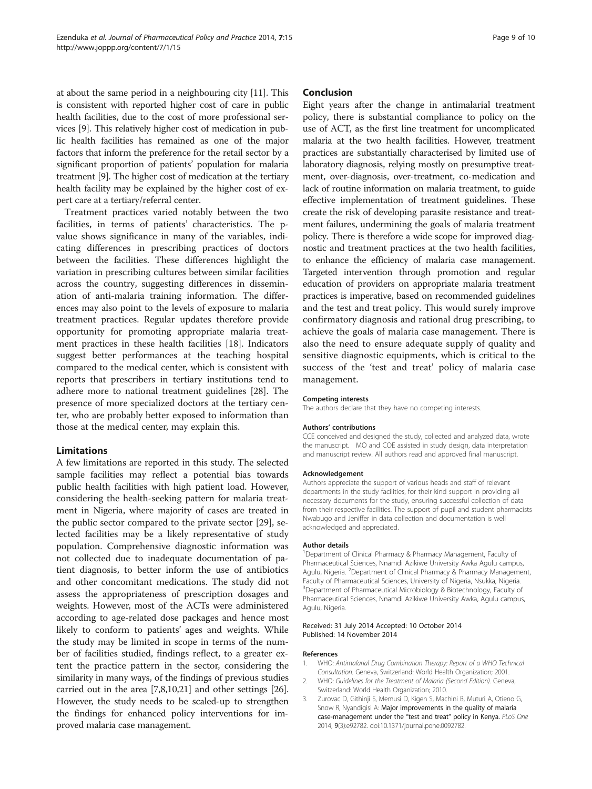<span id="page-8-0"></span>at about the same period in a neighbouring city [\[11\]](#page-9-0). This is consistent with reported higher cost of care in public health facilities, due to the cost of more professional services [\[9\]](#page-9-0). This relatively higher cost of medication in public health facilities has remained as one of the major factors that inform the preference for the retail sector by a significant proportion of patients' population for malaria treatment [\[9](#page-9-0)]. The higher cost of medication at the tertiary health facility may be explained by the higher cost of expert care at a tertiary/referral center.

Treatment practices varied notably between the two facilities, in terms of patients' characteristics. The pvalue shows significance in many of the variables, indicating differences in prescribing practices of doctors between the facilities. These differences highlight the variation in prescribing cultures between similar facilities across the country, suggesting differences in dissemination of anti-malaria training information. The differences may also point to the levels of exposure to malaria treatment practices. Regular updates therefore provide opportunity for promoting appropriate malaria treatment practices in these health facilities [\[18\]](#page-9-0). Indicators suggest better performances at the teaching hospital compared to the medical center, which is consistent with reports that prescribers in tertiary institutions tend to adhere more to national treatment guidelines [\[28\]](#page-9-0). The presence of more specialized doctors at the tertiary center, who are probably better exposed to information than those at the medical center, may explain this.

# Limitations

A few limitations are reported in this study. The selected sample facilities may reflect a potential bias towards public health facilities with high patient load. However, considering the health-seeking pattern for malaria treatment in Nigeria, where majority of cases are treated in the public sector compared to the private sector [[29](#page-9-0)], selected facilities may be a likely representative of study population. Comprehensive diagnostic information was not collected due to inadequate documentation of patient diagnosis, to better inform the use of antibiotics and other concomitant medications. The study did not assess the appropriateness of prescription dosages and weights. However, most of the ACTs were administered according to age-related dose packages and hence most likely to conform to patients' ages and weights. While the study may be limited in scope in terms of the number of facilities studied, findings reflect, to a greater extent the practice pattern in the sector, considering the similarity in many ways, of the findings of previous studies carried out in the area [[7,8,10,21\]](#page-9-0) and other settings [[26](#page-9-0)]. However, the study needs to be scaled-up to strengthen the findings for enhanced policy interventions for improved malaria case management.

Eight years after the change in antimalarial treatment policy, there is substantial compliance to policy on the use of ACT, as the first line treatment for uncomplicated malaria at the two health facilities. However, treatment practices are substantially characterised by limited use of laboratory diagnosis, relying mostly on presumptive treatment, over-diagnosis, over-treatment, co-medication and lack of routine information on malaria treatment, to guide effective implementation of treatment guidelines. These create the risk of developing parasite resistance and treatment failures, undermining the goals of malaria treatment policy. There is therefore a wide scope for improved diagnostic and treatment practices at the two health facilities, to enhance the efficiency of malaria case management. Targeted intervention through promotion and regular education of providers on appropriate malaria treatment practices is imperative, based on recommended guidelines and the test and treat policy. This would surely improve confirmatory diagnosis and rational drug prescribing, to achieve the goals of malaria case management. There is also the need to ensure adequate supply of quality and sensitive diagnostic equipments, which is critical to the success of the 'test and treat' policy of malaria case management.

#### Competing interests

The authors declare that they have no competing interests.

#### Authors' contributions

CCE conceived and designed the study, collected and analyzed data, wrote the manuscript. MO and COE assisted in study design, data interpretation and manuscript review. All authors read and approved final manuscript.

#### Acknowledgement

Authors appreciate the support of various heads and staff of relevant departments in the study facilities, for their kind support in providing all necessary documents for the study, ensuring successful collection of data from their respective facilities. The support of pupil and student pharmacists Nwabugo and Jeniffer in data collection and documentation is well acknowledged and appreciated.

#### Author details

<sup>1</sup>Department of Clinical Pharmacy & Pharmacy Management, Faculty of Pharmaceutical Sciences, Nnamdi Azikiwe University Awka Agulu campus, Agulu, Nigeria. <sup>2</sup>Department of Clinical Pharmacy & Pharmacy Management, Faculty of Pharmaceutical Sciences, University of Nigeria, Nsukka, Nigeria. <sup>3</sup>Department of Pharmaceutical Microbiology & Biotechnology, Faculty of Pharmaceutical Sciences, Nnamdi Azikiwe University Awka, Agulu campus, Agulu, Nigeria.

#### Received: 31 July 2014 Accepted: 10 October 2014 Published: 14 November 2014

#### References

- 1. WHO: Antimalarial Drug Combination Therapy: Report of a WHO Technical Consultation. Geneva, Switzerland: World Health Organization; 2001.
- 2. WHO: Guidelines for the Treatment of Malaria (Second Edition). Geneva, Switzerland: World Health Organization; 2010.
- 3. Zurovac D, Githinji S, Memusi D, Kigen S, Machini B, Muturi A, Otieno G, Snow R, Nyandigisi A: Major improvements in the quality of malaria case-management under the "test and treat" policy in Kenya. PLoS One 2014, 9(3):e92782. doi:10.1371/journal.pone.0092782.